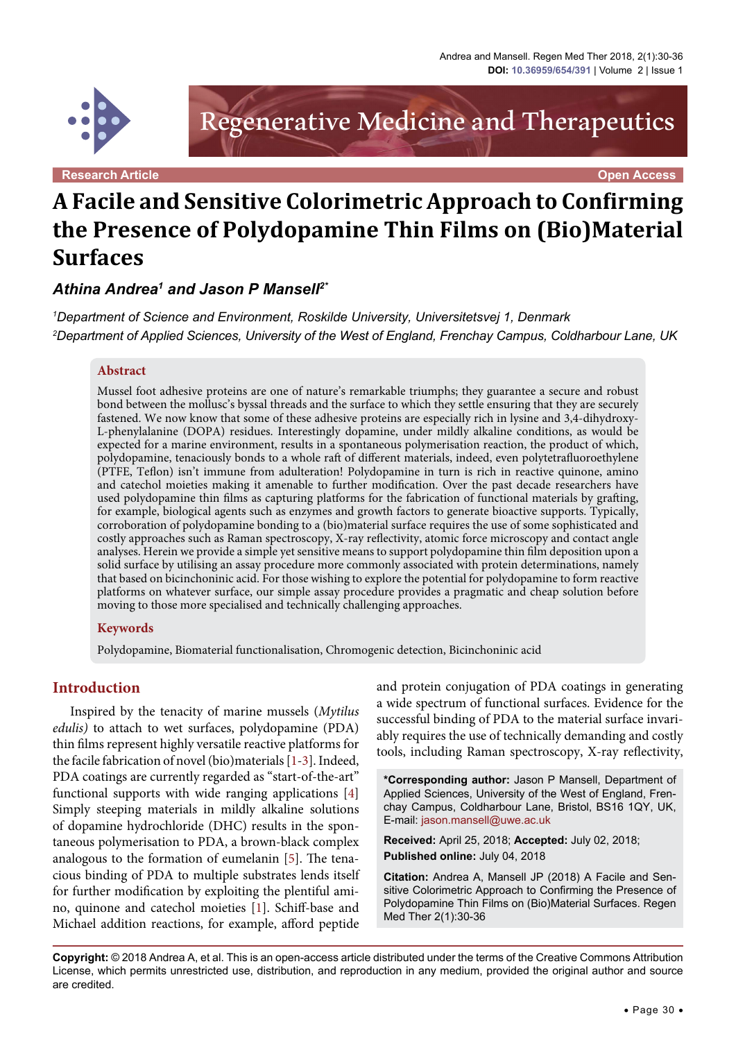

Regenerative Medicine and Therapeutics

**Research Article Open Access**

# **A Facile and Sensitive Colorimetric Approach to Confirming the Presence of Polydopamine Thin Films on (Bio)Material Surfaces**

*Athina Andrea1 and Jason P Mansell2\**

*1 Department of Science and Environment, Roskilde University, Universitetsvej 1, Denmark 2 Department of Applied Sciences, University of the West of England, Frenchay Campus, Coldharbour Lane, UK*

#### **Abstract**

Mussel foot adhesive proteins are one of nature's remarkable triumphs; they guarantee a secure and robust bond between the mollusc's byssal threads and the surface to which they settle ensuring that they are securely fastened. We now know that some of these adhesive proteins are especially rich in lysine and 3,4-dihydroxy-L-phenylalanine (DOPA) residues. Interestingly dopamine, under mildly alkaline conditions, as would be expected for a marine environment, results in a spontaneous polymerisation reaction, the product of which, polydopamine, tenaciously bonds to a whole raft of different materials, indeed, even polytetrafluoroethylene (PTFE, Teflon) isn't immune from adulteration! Polydopamine in turn is rich in reactive quinone, amino and catechol moieties making it amenable to further modification. Over the past decade researchers have used polydopamine thin films as capturing platforms for the fabrication of functional materials by grafting, for example, biological agents such as enzymes and growth factors to generate bioactive supports. Typically, corroboration of polydopamine bonding to a (bio)material surface requires the use of some sophisticated and costly approaches such as Raman spectroscopy, X-ray reflectivity, atomic force microscopy and contact angle analyses. Herein we provide a simple yet sensitive means to support polydopamine thin film deposition upon a solid surface by utilising an assay procedure more commonly associated with protein determinations, namely that based on bicinchoninic acid. For those wishing to explore the potential for polydopamine to form reactive platforms on whatever surface, our simple assay procedure provides a pragmatic and cheap solution before moving to those more specialised and technically challenging approaches.

#### **Keywords**

Polydopamine, Biomaterial functionalisation, Chromogenic detection, Bicinchoninic acid

### **Introduction**

Inspired by the tenacity of marine mussels (*Mytilus edulis)* to attach to wet surfaces, polydopamine (PDA) thin films represent highly versatile reactive platforms for the facile fabrication of novel (bio)materials [\[1](#page-5-0)[-3\]](#page-6-0). Indeed, PDA coatings are currently regarded as "start-of-the-art" functional supports with wide ranging applications [[4\]](#page-6-1) Simply steeping materials in mildly alkaline solutions of dopamine hydrochloride (DHC) results in the spontaneous polymerisation to PDA, a brown-black complex analogous to the formation of eumelanin [\[5](#page-6-2)]. The tenacious binding of PDA to multiple substrates lends itself for further modification by exploiting the plentiful amino, quinone and catechol moieties [[1](#page-5-0)]. Schiff-base and Michael addition reactions, for example, afford peptide

and protein conjugation of PDA coatings in generating a wide spectrum of functional surfaces. Evidence for the successful binding of PDA to the material surface invariably requires the use of technically demanding and costly tools, including Raman spectroscopy, X-ray reflectivity,

**\*Corresponding author:** Jason P Mansell, Department of Applied Sciences, University of the West of England, Frenchay Campus, Coldharbour Lane, Bristol, BS16 1QY, UK, E-mail: jason.mansell@uwe.ac.uk

**Received:** April 25, 2018; **Accepted:** July 02, 2018; **Published online:** July 04, 2018

**Citation:** Andrea A, Mansell JP (2018) A Facile and Sensitive Colorimetric Approach to Confirming the Presence of Polydopamine Thin Films on (Bio)Material Surfaces. Regen Med Ther 2(1):30-36

**Copyright:** © 2018 Andrea A, et al. This is an open-access article distributed under the terms of the Creative Commons Attribution License, which permits unrestricted use, distribution, and reproduction in any medium, provided the original author and source are credited.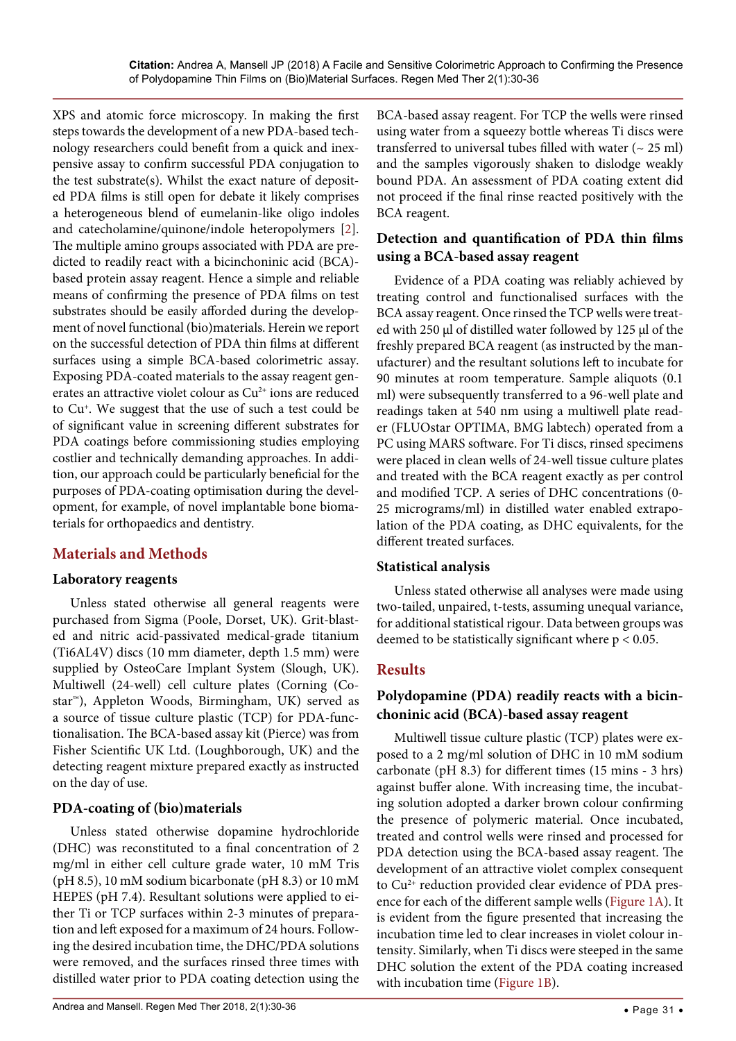XPS and atomic force microscopy. In making the first steps towards the development of a new PDA-based technology researchers could benefit from a quick and inexpensive assay to confirm successful PDA conjugation to the test substrate(s). Whilst the exact nature of deposited PDA films is still open for debate it likely comprises a heterogeneous blend of eumelanin-like oligo indoles and catecholamine/quinone/indole heteropolymers [\[2](#page-5-1)]. The multiple amino groups associated with PDA are predicted to readily react with a bicinchoninic acid (BCA) based protein assay reagent. Hence a simple and reliable means of confirming the presence of PDA films on test substrates should be easily afforded during the development of novel functional (bio)materials. Herein we report on the successful detection of PDA thin films at different surfaces using a simple BCA-based colorimetric assay. Exposing PDA-coated materials to the assay reagent generates an attractive violet colour as  $Cu<sup>2+</sup>$  ions are reduced to Cu+. We suggest that the use of such a test could be of significant value in screening different substrates for PDA coatings before commissioning studies employing costlier and technically demanding approaches. In addition, our approach could be particularly beneficial for the purposes of PDA-coating optimisation during the development, for example, of novel implantable bone biomaterials for orthopaedics and dentistry.

# **Materials and Methods**

## **Laboratory reagents**

Unless stated otherwise all general reagents were purchased from Sigma (Poole, Dorset, UK). Grit-blasted and nitric acid-passivated medical-grade titanium (Ti6AL4V) discs (10 mm diameter, depth 1.5 mm) were supplied by OsteoCare Implant System (Slough, UK). Multiwell (24-well) cell culture plates (Corning (Costar™), Appleton Woods, Birmingham, UK) served as a source of tissue culture plastic (TCP) for PDA-functionalisation. The BCA-based assay kit (Pierce) was from Fisher Scientific UK Ltd. (Loughborough, UK) and the detecting reagent mixture prepared exactly as instructed on the day of use.

# **PDA-coating of (bio)materials**

Unless stated otherwise dopamine hydrochloride (DHC) was reconstituted to a final concentration of 2 mg/ml in either cell culture grade water, 10 mM Tris (pH 8.5), 10 mM sodium bicarbonate (pH 8.3) or 10 mM HEPES (pH 7.4). Resultant solutions were applied to either Ti or TCP surfaces within 2-3 minutes of preparation and left exposed for a maximum of 24 hours. Following the desired incubation time, the DHC/PDA solutions were removed, and the surfaces rinsed three times with distilled water prior to PDA coating detection using the BCA-based assay reagent. For TCP the wells were rinsed using water from a squeezy bottle whereas Ti discs were transferred to universal tubes filled with water  $($   $\sim$  25 ml) and the samples vigorously shaken to dislodge weakly bound PDA. An assessment of PDA coating extent did not proceed if the final rinse reacted positively with the BCA reagent.

# **Detection and quantification of PDA thin films using a BCA-based assay reagent**

Evidence of a PDA coating was reliably achieved by treating control and functionalised surfaces with the BCA assay reagent. Once rinsed the TCP wells were treated with 250 µl of distilled water followed by 125 µl of the freshly prepared BCA reagent (as instructed by the manufacturer) and the resultant solutions left to incubate for 90 minutes at room temperature. Sample aliquots (0.1 ml) were subsequently transferred to a 96-well plate and readings taken at 540 nm using a multiwell plate reader (FLUOstar OPTIMA, BMG labtech) operated from a PC using MARS software. For Ti discs, rinsed specimens were placed in clean wells of 24-well tissue culture plates and treated with the BCA reagent exactly as per control and modified TCP. A series of DHC concentrations (0- 25 micrograms/ml) in distilled water enabled extrapolation of the PDA coating, as DHC equivalents, for the different treated surfaces.

# **Statistical analysis**

Unless stated otherwise all analyses were made using two-tailed, unpaired, t-tests, assuming unequal variance, for additional statistical rigour. Data between groups was deemed to be statistically significant where p < 0.05.

# **Results**

# **Polydopamine (PDA) readily reacts with a bicinchoninic acid (BCA)-based assay reagent**

Multiwell tissue culture plastic (TCP) plates were exposed to a 2 mg/ml solution of DHC in 10 mM sodium carbonate (pH 8.3) for different times (15 mins - 3 hrs) against buffer alone. With increasing time, the incubating solution adopted a darker brown colour confirming the presence of polymeric material. Once incubated, treated and control wells were rinsed and processed for PDA detection using the BCA-based assay reagent. The development of an attractive violet complex consequent to Cu<sup>2+</sup> reduction provided clear evidence of PDA presence for each of the different sample wells [\(Figure 1A](#page-2-0)). It is evident from the figure presented that increasing the incubation time led to clear increases in violet colour intensity. Similarly, when Ti discs were steeped in the same DHC solution the extent of the PDA coating increased with incubation time ([Figure 1B](#page-2-0)).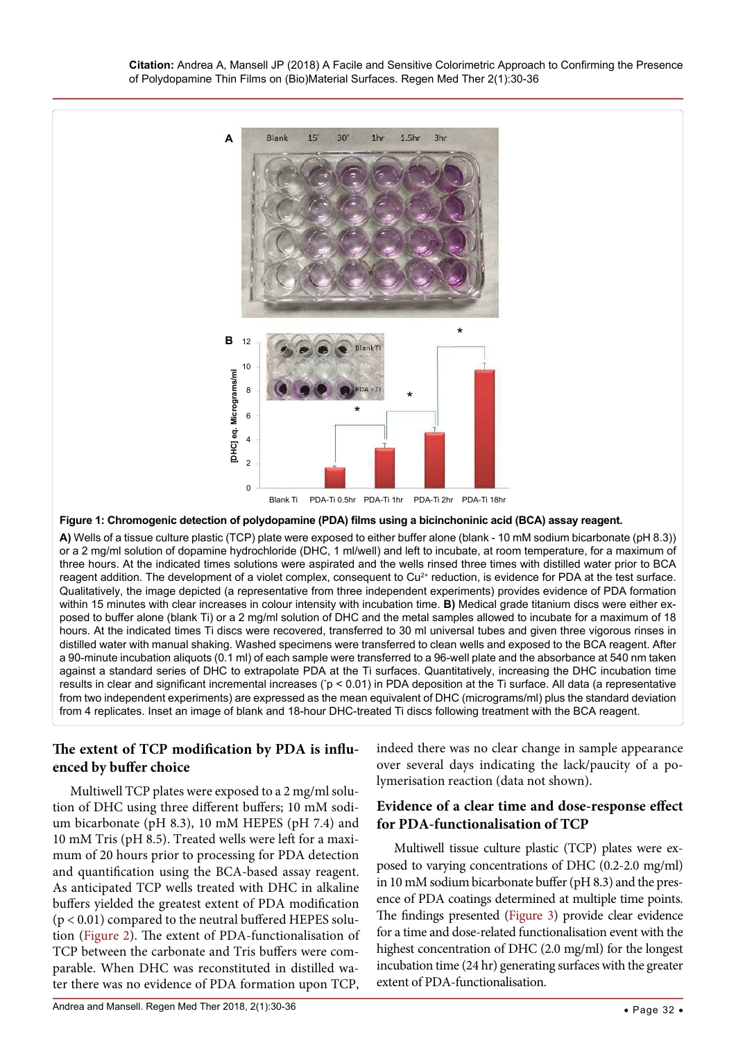<span id="page-2-0"></span>

#### **Figure 1: Chromogenic detection of polydopamine (PDA) films using a bicinchoninic acid (BCA) assay reagent.**

**A)** Wells of a tissue culture plastic (TCP) plate were exposed to either buffer alone (blank - 10 mM sodium bicarbonate (pH 8.3)) or a 2 mg/ml solution of dopamine hydrochloride (DHC, 1 ml/well) and left to incubate, at room temperature, for a maximum of three hours. At the indicated times solutions were aspirated and the wells rinsed three times with distilled water prior to BCA reagent addition. The development of a violet complex, consequent to Cu<sup>2+</sup> reduction, is evidence for PDA at the test surface. Qualitatively, the image depicted (a representative from three independent experiments) provides evidence of PDA formation within 15 minutes with clear increases in colour intensity with incubation time. **B)** Medical grade titanium discs were either exposed to buffer alone (blank Ti) or a 2 mg/ml solution of DHC and the metal samples allowed to incubate for a maximum of 18 hours. At the indicated times Ti discs were recovered, transferred to 30 ml universal tubes and given three vigorous rinses in distilled water with manual shaking. Washed specimens were transferred to clean wells and exposed to the BCA reagent. After a 90-minute incubation aliquots (0.1 ml) of each sample were transferred to a 96-well plate and the absorbance at 540 nm taken against a standard series of DHC to extrapolate PDA at the Ti surfaces. Quantitatively, increasing the DHC incubation time results in clear and significant incremental increases (˙p < 0.01) in PDA deposition at the Ti surface. All data (a representative from two independent experiments) are expressed as the mean equivalent of DHC (micrograms/ml) plus the standard deviation from 4 replicates. Inset an image of blank and 18-hour DHC-treated Ti discs following treatment with the BCA reagent.

# **The extent of TCP modification by PDA is influenced by buffer choice**

Multiwell TCP plates were exposed to a 2 mg/ml solution of DHC using three different buffers; 10 mM sodium bicarbonate (pH 8.3), 10 mM HEPES (pH 7.4) and 10 mM Tris (pH 8.5). Treated wells were left for a maximum of 20 hours prior to processing for PDA detection and quantification using the BCA-based assay reagent. As anticipated TCP wells treated with DHC in alkaline buffers yielded the greatest extent of PDA modification  $(p < 0.01)$  compared to the neutral buffered HEPES solution ([Figure 2\)](#page-3-1). The extent of PDA-functionalisation of TCP between the carbonate and Tris buffers were comparable. When DHC was reconstituted in distilled water there was no evidence of PDA formation upon TCP,

indeed there was no clear change in sample appearance over several days indicating the lack/paucity of a polymerisation reaction (data not shown).

## **Evidence of a clear time and dose-response effect for PDA-functionalisation of TCP**

Multiwell tissue culture plastic (TCP) plates were exposed to varying concentrations of DHC (0.2-2.0 mg/ml) in 10 mM sodium bicarbonate buffer (pH 8.3) and the presence of PDA coatings determined at multiple time points. The findings presented ([Figure 3\)](#page-3-0) provide clear evidence for a time and dose-related functionalisation event with the highest concentration of DHC (2.0 mg/ml) for the longest incubation time (24 hr) generating surfaces with the greater extent of PDA-functionalisation.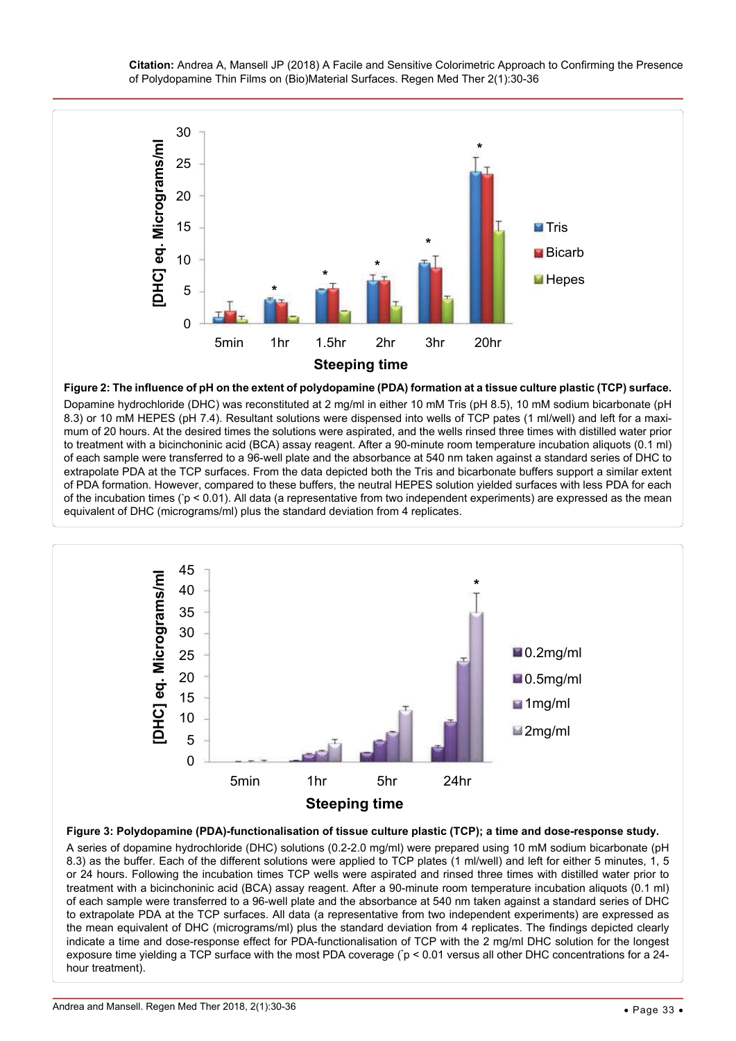<span id="page-3-1"></span>

**Figure 2: The influence of pH on the extent of polydopamine (PDA) formation at a tissue culture plastic (TCP) surface.** Dopamine hydrochloride (DHC) was reconstituted at 2 mg/ml in either 10 mM Tris (pH 8.5), 10 mM sodium bicarbonate (pH 8.3) or 10 mM HEPES (pH 7.4). Resultant solutions were dispensed into wells of TCP pates (1 ml/well) and left for a maximum of 20 hours. At the desired times the solutions were aspirated, and the wells rinsed three times with distilled water prior to treatment with a bicinchoninic acid (BCA) assay reagent. After a 90-minute room temperature incubation aliquots (0.1 ml) of each sample were transferred to a 96-well plate and the absorbance at 540 nm taken against a standard series of DHC to extrapolate PDA at the TCP surfaces. From the data depicted both the Tris and bicarbonate buffers support a similar extent of PDA formation. However, compared to these buffers, the neutral HEPES solution yielded surfaces with less PDA for each of the incubation times (\* p < 0.01). All data (a representative from two independent experiments) are expressed as the mean equivalent of DHC (micrograms/ml) plus the standard deviation from 4 replicates.

<span id="page-3-0"></span>

**Figure 3: Polydopamine (PDA)-functionalisation of tissue culture plastic (TCP); a time and dose-response study.**

A series of dopamine hydrochloride (DHC) solutions (0.2-2.0 mg/ml) were prepared using 10 mM sodium bicarbonate (pH 8.3) as the buffer. Each of the different solutions were applied to TCP plates (1 ml/well) and left for either 5 minutes, 1, 5 or 24 hours. Following the incubation times TCP wells were aspirated and rinsed three times with distilled water prior to treatment with a bicinchoninic acid (BCA) assay reagent. After a 90-minute room temperature incubation aliquots (0.1 ml) of each sample were transferred to a 96-well plate and the absorbance at 540 nm taken against a standard series of DHC to extrapolate PDA at the TCP surfaces. All data (a representative from two independent experiments) are expressed as the mean equivalent of DHC (micrograms/ml) plus the standard deviation from 4 replicates. The findings depicted clearly indicate a time and dose-response effect for PDA-functionalisation of TCP with the 2 mg/ml DHC solution for the longest exposure time yielding a TCP surface with the most PDA coverage (\* p < 0.01 versus all other DHC concentrations for a 24 hour treatment).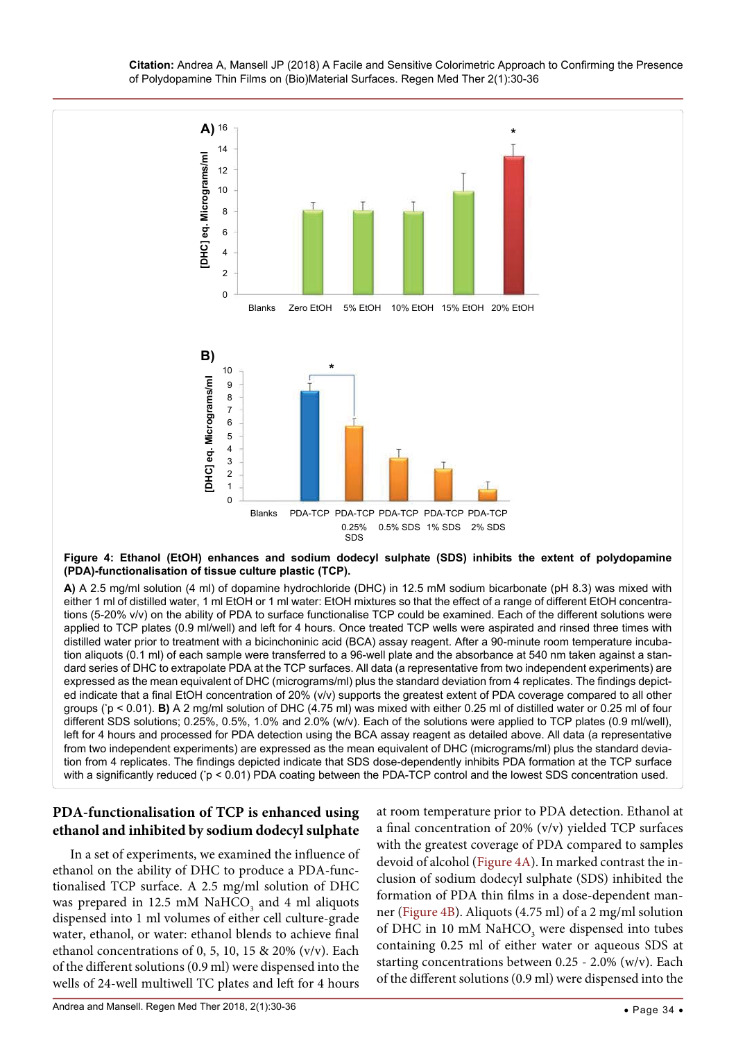**Citation:** Andrea A, Mansell JP (2018) A Facile and Sensitive Colorimetric Approach to Confirming the Presence of Polydopamine Thin Films on (Bio)Material Surfaces. Regen Med Ther 2(1):30-36

<span id="page-4-0"></span>

#### **Figure 4: Ethanol (EtOH) enhances and sodium dodecyl sulphate (SDS) inhibits the extent of polydopamine (PDA)-functionalisation of tissue culture plastic (TCP).**

**A)** A 2.5 mg/ml solution (4 ml) of dopamine hydrochloride (DHC) in 12.5 mM sodium bicarbonate (pH 8.3) was mixed with either 1 ml of distilled water, 1 ml EtOH or 1 ml water: EtOH mixtures so that the effect of a range of different EtOH concentrations (5-20% v/v) on the ability of PDA to surface functionalise TCP could be examined. Each of the different solutions were applied to TCP plates (0.9 ml/well) and left for 4 hours. Once treated TCP wells were aspirated and rinsed three times with distilled water prior to treatment with a bicinchoninic acid (BCA) assay reagent. After a 90-minute room temperature incubation aliquots (0.1 ml) of each sample were transferred to a 96-well plate and the absorbance at 540 nm taken against a standard series of DHC to extrapolate PDA at the TCP surfaces. All data (a representative from two independent experiments) are expressed as the mean equivalent of DHC (micrograms/ml) plus the standard deviation from 4 replicates. The findings depicted indicate that a final EtOH concentration of 20% (v/v) supports the greatest extent of PDA coverage compared to all other groups (\* p < 0.01). **B)** A 2 mg/ml solution of DHC (4.75 ml) was mixed with either 0.25 ml of distilled water or 0.25 ml of four different SDS solutions; 0.25%, 0.5%, 1.0% and 2.0% (w/v). Each of the solutions were applied to TCP plates (0.9 ml/well), left for 4 hours and processed for PDA detection using the BCA assay reagent as detailed above. All data (a representative from two independent experiments) are expressed as the mean equivalent of DHC (micrograms/ml) plus the standard deviation from 4 replicates. The findings depicted indicate that SDS dose-dependently inhibits PDA formation at the TCP surface with a significantly reduced (`p < 0.01) PDA coating between the PDA-TCP control and the lowest SDS concentration used.

# **PDA-functionalisation of TCP is enhanced using ethanol and inhibited by sodium dodecyl sulphate**

In a set of experiments, we examined the influence of ethanol on the ability of DHC to produce a PDA-functionalised TCP surface. A 2.5 mg/ml solution of DHC was prepared in 12.5 mM  $\mathrm{NaHCO}_{_3}$  and 4 ml aliquots dispensed into 1 ml volumes of either cell culture-grade water, ethanol, or water: ethanol blends to achieve final ethanol concentrations of 0, 5, 10, 15 & 20% (v/v). Each of the different solutions (0.9 ml) were dispensed into the wells of 24-well multiwell TC plates and left for 4 hours

at room temperature prior to PDA detection. Ethanol at a final concentration of 20% (v/v) yielded TCP surfaces with the greatest coverage of PDA compared to samples devoid of alcohol ([Figure 4A](#page-4-0)). In marked contrast the inclusion of sodium dodecyl sulphate (SDS) inhibited the formation of PDA thin films in a dose-dependent manner ([Figure 4B](#page-4-0)). Aliquots (4.75 ml) of a 2 mg/ml solution of DHC in 10 mM  $\mathrm{NaHCO}_{3}$  were dispensed into tubes containing 0.25 ml of either water or aqueous SDS at starting concentrations between 0.25 - 2.0% (w/v). Each of the different solutions (0.9 ml) were dispensed into the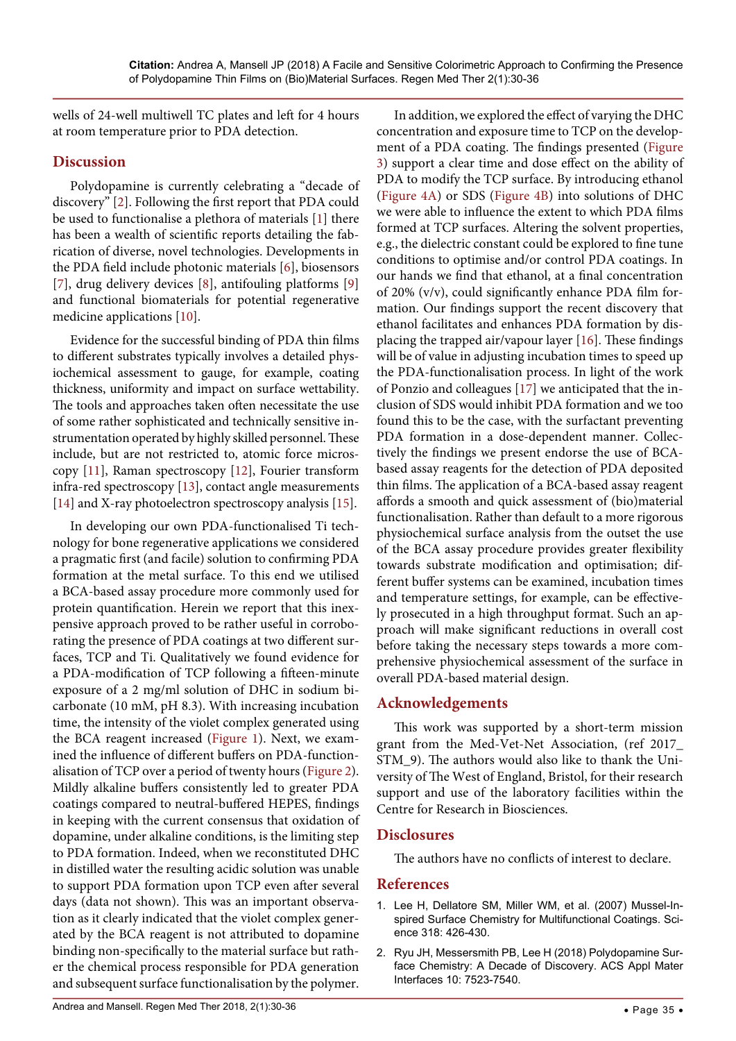wells of 24-well multiwell TC plates and left for 4 hours at room temperature prior to PDA detection.

# **Discussion**

Polydopamine is currently celebrating a "decade of discovery" [\[2](#page-5-1)]. Following the first report that PDA could be used to functionalise a plethora of materials [\[1](#page-5-0)] there has been a wealth of scientific reports detailing the fabrication of diverse, novel technologies. Developments in the PDA field include photonic materials [[6](#page-6-3)], biosensors [\[7\]](#page-6-4), drug delivery devices [[8](#page-6-5)], antifouling platforms [\[9\]](#page-6-6) and functional biomaterials for potential regenerative medicine applications [[10](#page-6-7)].

Evidence for the successful binding of PDA thin films to different substrates typically involves a detailed physiochemical assessment to gauge, for example, coating thickness, uniformity and impact on surface wettability. The tools and approaches taken often necessitate the use of some rather sophisticated and technically sensitive instrumentation operated by highly skilled personnel. These include, but are not restricted to, atomic force microscopy [[11](#page-6-8)], Raman spectroscopy [\[12\]](#page-6-9), Fourier transform infra-red spectroscopy [\[13\]](#page-6-10), contact angle measurements [\[14\]](#page-6-11) and X-ray photoelectron spectroscopy analysis [\[15\]](#page-6-12).

In developing our own PDA-functionalised Ti technology for bone regenerative applications we considered a pragmatic first (and facile) solution to confirming PDA formation at the metal surface. To this end we utilised a BCA-based assay procedure more commonly used for protein quantification. Herein we report that this inexpensive approach proved to be rather useful in corroborating the presence of PDA coatings at two different surfaces, TCP and Ti. Qualitatively we found evidence for a PDA-modification of TCP following a fifteen-minute exposure of a 2 mg/ml solution of DHC in sodium bicarbonate (10 mM, pH 8.3). With increasing incubation time, the intensity of the violet complex generated using the BCA reagent increased [\(Figure 1](#page-2-0)). Next, we examined the influence of different buffers on PDA-functionalisation of TCP over a period of twenty hours [\(Figure 2](#page-3-1)). Mildly alkaline buffers consistently led to greater PDA coatings compared to neutral-buffered HEPES, findings in keeping with the current consensus that oxidation of dopamine, under alkaline conditions, is the limiting step to PDA formation. Indeed, when we reconstituted DHC in distilled water the resulting acidic solution was unable to support PDA formation upon TCP even after several days (data not shown). This was an important observation as it clearly indicated that the violet complex generated by the BCA reagent is not attributed to dopamine binding non-specifically to the material surface but rather the chemical process responsible for PDA generation and subsequent surface functionalisation by the polymer.

concentration and exposure time to TCP on the development of a PDA coating. The findings presented [\(Figure](#page-3-0)  [3](#page-3-0)) support a clear time and dose effect on the ability of PDA to modify the TCP surface. By introducing ethanol ([Figure 4A](#page-4-0)) or SDS [\(Figure 4B\)](#page-4-0) into solutions of DHC we were able to influence the extent to which PDA films formed at TCP surfaces. Altering the solvent properties, e.g., the dielectric constant could be explored to fine tune conditions to optimise and/or control PDA coatings. In our hands we find that ethanol, at a final concentration of 20% (v/v), could significantly enhance PDA film formation. Our findings support the recent discovery that ethanol facilitates and enhances PDA formation by displacing the trapped air/vapour layer [[16](#page-6-13)]. These findings will be of value in adjusting incubation times to speed up the PDA-functionalisation process. In light of the work of Ponzio and colleagues [\[17\]](#page-6-14) we anticipated that the inclusion of SDS would inhibit PDA formation and we too found this to be the case, with the surfactant preventing PDA formation in a dose-dependent manner. Collectively the findings we present endorse the use of BCAbased assay reagents for the detection of PDA deposited thin films. The application of a BCA-based assay reagent affords a smooth and quick assessment of (bio)material functionalisation. Rather than default to a more rigorous physiochemical surface analysis from the outset the use of the BCA assay procedure provides greater flexibility towards substrate modification and optimisation; different buffer systems can be examined, incubation times and temperature settings, for example, can be effectively prosecuted in a high throughput format. Such an approach will make significant reductions in overall cost before taking the necessary steps towards a more comprehensive physiochemical assessment of the surface in overall PDA-based material design.

In addition, we explored the effect of varying the DHC

# **Acknowledgements**

This work was supported by a short-term mission grant from the Med-Vet-Net Association, (ref 2017\_ STM\_9). The authors would also like to thank the University of The West of England, Bristol, for their research support and use of the laboratory facilities within the Centre for Research in Biosciences.

# **Disclosures**

The authors have no conflicts of interest to declare.

# **References**

- <span id="page-5-0"></span>1. [Lee H, Dellatore SM, Miller WM, et al. \(2007\) Mussel-In](https://www.ncbi.nlm.nih.gov/pubmed/17947576)[spired Surface Chemistry for Multifunctional Coatings. Sci](https://www.ncbi.nlm.nih.gov/pubmed/17947576)[ence 318: 426-430.](https://www.ncbi.nlm.nih.gov/pubmed/17947576)
- <span id="page-5-1"></span>2. [Ryu JH, Messersmith PB, Lee H \(2018\) Polydopamine Sur](https://www.ncbi.nlm.nih.gov/pubmed/29465221)[face Chemistry: A Decade of Discovery. ACS Appl Mater](https://www.ncbi.nlm.nih.gov/pubmed/29465221)  [Interfaces 10: 7523-7540.](https://www.ncbi.nlm.nih.gov/pubmed/29465221)